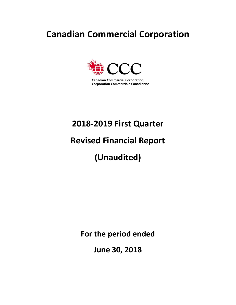# **Canadian Commercial Corporation**



**Canadian Commercial Corporation Corporation Commerciale Canadienne** 

# **2018-2019 First Quarter**

# **Revised Financial Report**

# **(Unaudited)**

**For the period ended** 

**June 30, 2018**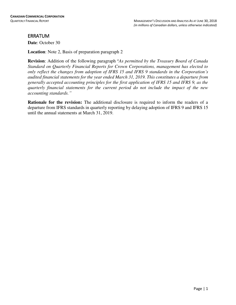# ERRATUM

**Date**: October 30

**Location**: Note 2, Basis of preparation paragraph 2

**Revision**: Addition of the following paragraph "*As permitted by the Treasury Board of Canada Standard on Quarterly Financial Reports for Crown Corporations, management has elected to only reflect the changes from adoption of IFRS 15 and IFRS 9 standards in the Corporation's audited financial statements for the year ended March 31, 2019. This constitutes a departure from generally accepted accounting principles for the first application of IFRS 15 and IFRS 9, as the quarterly financial statements for the current period do not include the impact of the new accounting standards."*

**Rationale for the revision:** The additional disclosure is required to inform the readers of a departure from IFRS standards in quarterly reporting by delaying adoption of IFRS 9 and IFRS 15 until the annual statements at March 31, 2019.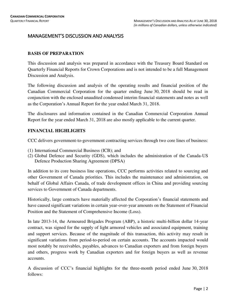# MANAGEMENT'S DISCUSSION AND ANALYSIS

# **BASIS OF PREPARATION**

This discussion and analysis was prepared in accordance with the Treasury Board Standard on Quarterly Financial Reports for Crown Corporations and is not intended to be a full Management Discussion and Analysis.

The following discussion and analysis of the operating results and financial position of the Canadian Commercial Corporation for the quarter ending June 30, 2018 should be read in conjunction with the enclosed unaudited condensed interim financial statements and notes as well as the Corporation's Annual Report for the year ended March 31, 2018.

The disclosures and information contained in the Canadian Commercial Corporation Annual Report for the year ended March 31, 2018 are also mostly applicable to the current quarter.

# **FINANCIAL HIGHLIGHTS**

CCC delivers government-to-government contracting services through two core lines of business:

- (1) International Commercial Business (ICB); and
- (2) Global Defence and Security (GDS), which includes the administration of the Canada-US Defence Production Sharing Agreement (DPSA)

In addition to its core business line operations, CCC performs activities related to sourcing and other Government of Canada priorities. This includes the maintenance and administration, on behalf of Global Affairs Canada, of trade development offices in China and providing sourcing services to Government of Canada departments.

Historically, large contracts have materially affected the Corporation's financial statements and have caused significant variations in certain year-over-year amounts on the Statement of Financial Position and the Statement of Comprehensive Income (Loss).

In late 2013-14, the Armoured Brigades Program (ABP), a historic multi-billion dollar 14-year contract, was signed for the supply of light armored vehicles and associated equipment, training and support services. Because of the magnitude of this transaction, this activity may result in significant variations from period-to-period on certain accounts. The accounts impacted would most notably be receivables, payables, advances to Canadian exporters and from foreign buyers and others, progress work by Canadian exporters and for foreign buyers as well as revenue accounts.

A discussion of CCC's financial highlights for the three-month period ended June 30, 2018 follows: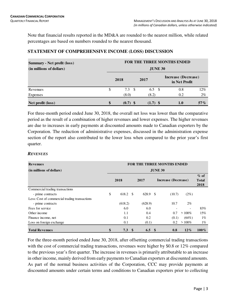Note that financial results reported in the MD&A are rounded to the nearest million, while related percentages are based on numbers rounded to the nearest thousand.

# **STATEMENT OF COMPREHENSIVE INCOME (LOSS) DISCUSSION**

| <b>Summary - Net profit (loss)</b> |    | <b>FOR THE THREE MONTHS ENDED</b> |      |                |  |                                      |        |  |  |  |  |  |  |
|------------------------------------|----|-----------------------------------|------|----------------|--|--------------------------------------|--------|--|--|--|--|--|--|
| (in millions of dollars)           |    | <b>JUNE 30</b>                    |      |                |  |                                      |        |  |  |  |  |  |  |
|                                    |    | 2018                              | 2017 |                |  | Increase (Decrease)<br>in Net Profit |        |  |  |  |  |  |  |
| Revenues                           | \$ | $7.3 \quad $$                     |      | 6.5 $\sqrt{ }$ |  | 0.8                                  | $12\%$ |  |  |  |  |  |  |
| Expenses                           |    | (8.0)                             |      | (8.2)          |  | 0.2                                  | $2\%$  |  |  |  |  |  |  |
| Net profit (loss)                  | \$ | $(0.7)$ \$                        |      | $(1.7)$ \$     |  | 1.0                                  | $57\%$ |  |  |  |  |  |  |

For three-month period ended June 30, 2018, the overall net loss was lower than the comparative period as the result of a combination of higher revenues and lower expenses. The higher revenues are due to increases in early payments at discounted amounts made to Canadian exporters by the Corporation. The reduction of administrative expenses, discussed in the administration expense section of the report also contributed to the lower loss when compared to the prior year's first quarter.

# *REVENUES*

| <b>Revenues</b>                               | <b>FOR THE THREE MONTHS ENDED</b> |         |          |            |      |                     |                          |                                 |  |  |
|-----------------------------------------------|-----------------------------------|---------|----------|------------|------|---------------------|--------------------------|---------------------------------|--|--|
| (in millions of dollars)                      | <b>JUNE 30</b>                    |         |          |            |      |                     |                          |                                 |  |  |
|                                               |                                   | 2018    |          | 2017       |      | Increase (Decrease) |                          | $\%$ of<br><b>Total</b><br>2018 |  |  |
| Commercial trading transactions               |                                   |         |          |            |      |                     |                          |                                 |  |  |
| - prime contracts                             | \$                                | 618.2   | -S       | 628.9      | - \$ | (10.7)              | $(2\%)$                  |                                 |  |  |
| Less: Cost of commercial trading transactions |                                   |         |          |            |      |                     |                          |                                 |  |  |
| - prime contracts                             |                                   | (618.2) |          | (628.9)    |      | 10.7                | $2\%$                    |                                 |  |  |
| Fees for service                              |                                   | 6.0     |          | 6.0        |      |                     | $\overline{\phantom{0}}$ | 83%                             |  |  |
| Other income                                  |                                   | 1.1     |          | 0.4        |      | 0.7                 | $>100\%$                 | 15%                             |  |  |
| Finance income, net                           |                                   | 0.1     |          | 0.2        |      | (0.1)               | $(64\%)$                 | $1\%$                           |  |  |
| Loss on foreign exchange                      |                                   | 0.1     |          | (0.1)      |      | 0.2                 | $>100\%$                 | $1\%$                           |  |  |
| <b>Total Revenues</b>                         | \$                                | 7.3     | <b>S</b> | $6.5\quad$ |      | 0.8                 | $12\%$                   | $100\%$                         |  |  |

For the three-month period ended June 30, 2018, after offsetting commercial trading transactions with the cost of commercial trading transactions, revenues were higher by \$0.8 or 12% compared to the previous year's first quarter. The increase in revenues is primarily attributable to an increase in other income, mainly derived from early payments to Canadian exporters at discounted amounts. As part of the normal business activities of the Corporation, CCC may provide payments at discounted amounts under certain terms and conditions to Canadian exporters prior to collecting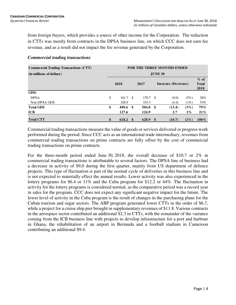from foreign buyers, which provides a source of other income for the Corporation. The reduction in CTTs was mostly from contracts in the DPSA business line, on which CCC does not earn fee revenue, and as a result did not impact the fee revenue generated by the Corporation.

| <b>Commercial Trading Transactions (CTT)</b> | <b>FOR THE THREE MONTHS ENDED</b> |       |     |       |      |                     |                                |  |  |  |
|----------------------------------------------|-----------------------------------|-------|-----|-------|------|---------------------|--------------------------------|--|--|--|
| (in millions of dollars)                     | <b>JUNE 30</b>                    |       |     |       |      |                     |                                |  |  |  |
|                                              |                                   | 2018  |     | 2017  |      | Increase (Decrease) | $%$ of<br><b>Total</b><br>2018 |  |  |  |
| GDS:                                         |                                   |       |     |       |      |                     |                                |  |  |  |
| <b>DPSA</b>                                  | \$                                | 161.7 | -\$ | 170.7 | - \$ | (9.0)<br>(5%)       | 26%                            |  |  |  |
| Non-DPSA GDS                                 |                                   | 328.9 |     | 333.3 |      | (1%)<br>(4.4)       | 53%                            |  |  |  |
| <b>Total GDS</b>                             | \$                                | 490.6 | -\$ | 504.0 | - \$ | $(3\%)$<br>(13.4)   | <b>79%</b>                     |  |  |  |
| <b>ICB</b>                                   |                                   | 127.6 |     | 124.9 |      | $2\%$<br>2.7        | $21\%$                         |  |  |  |
| <b>Total CTT</b>                             | \$                                | 618.2 | \$  | 628.9 | - \$ | (10.7)<br>$(2\%)$   | $100\%$                        |  |  |  |

# *Commercial trading transactions*

Commercial trading transactions measure the value of goods or services delivered or progress work performed during the period. Since CCC acts as an international trade intermediary, revenues from commercial trading transactions on prime contracts are fully offset by the cost of commercial trading transactions on prime contracts.

For the three-month period ended June 30, 2018, the overall decrease of \$10.7 or 2% in commercial trading transactions is attributable to several factors. The DPSA line of business had a decrease in activity of \$9,0 during the first quarter, mainly from US department of defence projects. This type of fluctuation is part of the normal cycle of deliveries in this business line and is not expected to materially effect the annual results. Lower activity was also experienced in the lottery programs for \$6.4 or 11% and the Cuba program for \$12.2 or 44%. The fluctuation in activity for the lottery programs is considered normal, as the comparative period was a record year in sales for the program. CCC does not expect any significant negative impact for the future. The lower level of activity in the Cuba program is the result of changes in the purchasing plans for the Cuban tourism and sugar sectors. The ABP program generated lower CTTs in the order of \$6.7, while a project for a cruise ship pier brought in supplementary revenues of \$11.8. Various contracts in the aerospace sector contributed an additional \$2.3 in CTTs, with the remainder of the variance coming from the ICB business line with projects to develop infrastructure for a port and harbour in Ghana, the rehabilitation of an airport in Bermuda and a football stadium in Cameroon contributing an additional \$9.4.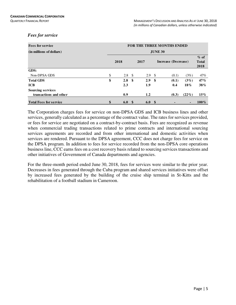# *Fees for service*

| <b>Fees for service</b>       |      | FOR THE THREE MONTHS ENDED<br><b>JUNE 30</b> |               |                  |                     |       |                                |         |  |  |  |
|-------------------------------|------|----------------------------------------------|---------------|------------------|---------------------|-------|--------------------------------|---------|--|--|--|
| (in millions of dollars)      |      |                                              |               |                  |                     |       |                                |         |  |  |  |
|                               | 2018 |                                              | 2017          |                  | Increase (Decrease) |       | $%$ of<br><b>Total</b><br>2018 |         |  |  |  |
| GDS:                          |      |                                              |               |                  |                     |       |                                |         |  |  |  |
| Non-DPSA GDS                  | \$   | 2.8                                          | <sup>\$</sup> | 2.9 <sup>°</sup> |                     | (0.1) | (3%)                           | 47%     |  |  |  |
| <b>Total GDS</b>              | \$   | 2.8                                          | \$            | 2.9              | - \$                | (0.1) | $(3\%)$                        | 47%     |  |  |  |
| <b>ICB</b>                    |      | 2.3                                          |               | 1.9              |                     | 0.4   | 18%                            | 38%     |  |  |  |
| <b>Sourcing services</b>      |      |                                              |               |                  |                     |       |                                |         |  |  |  |
| transactions and other        |      | 0.9                                          |               | 1.2              |                     | (0.3) | $(22\%)$                       | $15\%$  |  |  |  |
| <b>Total Fees for service</b> | \$   | 6.0                                          | -S            | 6.0 <sup>5</sup> |                     |       |                                | $100\%$ |  |  |  |

The Corporation charges fees for service on non-DPSA GDS and ICB business lines and other services, generally calculated as a percentage of the contract value. The rates for services provided, or fees for service are negotiated on a contract-by-contract basis. Fees are recognized as revenue when commercial trading transactions related to prime contracts and international sourcing services agreements are recorded and from other international and domestic activities when services are rendered. Pursuant to the DPSA agreement, CCC does not charge fees for service on the DPSA program. In addition to fees for service recorded from the non-DPSA core operations business line, CCC earns fees on a cost recovery basis related to sourcing services transactions and other initiatives of Government of Canada departments and agencies.

For the three-month period ended June 30, 2018, fees for services were similar to the prior year. Decreases in fees generated through the Cuba program and shared services initiatives were offset by increased fees generated by the building of the cruise ship terminal in St-Kitts and the rehabilitation of a football stadium in Cameroon.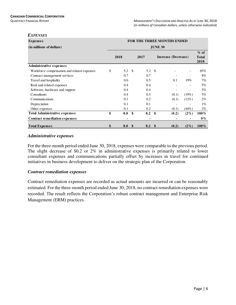*EXPENSES*

| <i>EXPENSES</i>                             |           |               |                  |                |                                   |                |                      |  |  |
|---------------------------------------------|-----------|---------------|------------------|----------------|-----------------------------------|----------------|----------------------|--|--|
| <b>Expenses</b>                             |           |               |                  |                | <b>FOR THE THREE MONTHS ENDED</b> |                |                      |  |  |
| (in millions of dollars)                    |           |               |                  | <b>JUNE 30</b> |                                   |                |                      |  |  |
|                                             |           |               |                  |                |                                   |                |                      |  |  |
|                                             | 2018      |               | 2017             |                | Increase (Decrease)               |                | <b>Total</b><br>2018 |  |  |
| <b>Administrative expenses</b>              |           |               |                  |                |                                   |                |                      |  |  |
| Workforce compensation and related expenses | \$<br>5.2 | -S            | $5.2 \quad$      |                |                                   |                | 65%                  |  |  |
| Contract management services                | 0.7       |               | 0.7              |                |                                   |                | 8%                   |  |  |
| Travel and hospitality                      | 0.6       |               | 0.5              |                | 0.1                               | 19%            | 7%                   |  |  |
| Rent and related expenses                   | 0.4       |               | 0.4              |                |                                   | $\overline{a}$ | 5%                   |  |  |
| Software, hardware and support              | 0.4       |               | 0.4              |                |                                   |                | $5\%$                |  |  |
| Consultants                                 | 0.4       |               | 0.5              |                | (0.1)                             | (19%)          | 5%                   |  |  |
| Communications                              | 0.1       |               | 0.2              |                | (0.1)                             | (12%)          | $2\%$                |  |  |
| Depreciation                                | 0.1       |               | 0.1              |                |                                   |                | $1\%$                |  |  |
| Other expenses                              | 0.1       |               | 0.2              |                | (0.1)                             | (44%)          | $2\%$                |  |  |
| <b>Total Administrative expenses</b>        | \$<br>8.0 | \$            | 8.2              | \$             | (0.2)                             | $(2\%)$        | $100\%$              |  |  |
| <b>Contract remediation expenses</b>        |           |               | ۰                |                |                                   |                | $0\%$                |  |  |
| <b>Total Expenses</b>                       | \$<br>8.0 | $\mathbf{\$}$ | 8.2 <sup>°</sup> |                | (0.2)                             | $(2\%)$        | $100\%$              |  |  |

#### *Administrative expenses*

For the three-month period ended June 30, 2018, expenses were comparable to the previous period. The slight decrease of \$0.2 or 2% in administrative expenses is primarily related to lower consultant expenses and communications partially offset by increases in travel for continued initiatives in business development to deliver on the strategic plan of the Corporation.

# *Contract remediation expenses*

Contract remediation expenses are recorded as actual amounts are incurred or can be reasonably estimated. For the three-month period ended June 30, 2018, no contract remediation expenses were recorded. The result reflects the Corporation's robust contract management and Enterprise Risk Management (ERM) practices.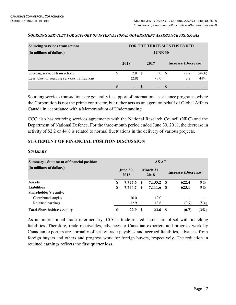| <b>Sourcing services transactions</b>        |                |                  |  |                  |  | FOR THE THREE MONTHS ENDED |       |  |  |  |  |  |
|----------------------------------------------|----------------|------------------|--|------------------|--|----------------------------|-------|--|--|--|--|--|
| (in millions of dollars)                     | <b>JUNE 30</b> |                  |  |                  |  |                            |       |  |  |  |  |  |
|                                              |                | 2018             |  | 2017             |  | Increase (Decrease)        |       |  |  |  |  |  |
| Sourcing services transactions               | \$             | 2.8 <sup>5</sup> |  | 5.0 <sup>5</sup> |  | (2.2)                      | (44%) |  |  |  |  |  |
| Less: Cost of sourcing services transactions |                | (2.8)            |  | (5.0)            |  | 2.2                        | 44%   |  |  |  |  |  |
|                                              |                |                  |  |                  |  |                            |       |  |  |  |  |  |

#### *SOURCING SERVICES FOR SUPPORT OF INTERNATIONAL GOVERNMENT ASSISTANCE PROGRAMS*

Sourcing services transactions are generally in support of international assistance programs, where the Corporation is not the prime contractor, but rather acts as an agent on behalf of Global Affairs Canada in accordance with a Memorandum of Understanding.

CCC also has sourcing services agreements with the National Research Council (NRC) and the Department of National Defence. For the three-month period ended June 30, 2018, the decrease in activity of \$2.2 or 44% is related to normal fluctuations in the delivery of various projects.

# **STATEMENT OF FINANCIAL POSITION DISCUSSION**

| <b>Summary - Statement of financial position</b> |    |                         |    | <b>AS AT</b>      |                     |       |         |  |
|--------------------------------------------------|----|-------------------------|----|-------------------|---------------------|-------|---------|--|
| (in millions of dollars)                         |    | <b>June 30,</b><br>2018 |    | March 31,<br>2018 | Increase (Decrease) |       |         |  |
| <b>Assets</b>                                    | \$ | 7,757.6                 | S  | $7,135.2$ \$      |                     | 622.4 | $9\%$   |  |
| <b>Liabilities</b>                               | \$ | 7.734.7                 | \$ | 7,111.6 \$        |                     | 623.1 | $9\%$   |  |
| Shareholder's equity:                            |    |                         |    |                   |                     |       |         |  |
| Contributed surplus                              |    | 10.0                    |    | 10.0              |                     |       |         |  |
| Retained earnings                                |    | 12.9                    |    | 13.6              |                     | (0.7) | (5%)    |  |
| <b>Total Shareholder's equity</b>                | \$ | 22.9                    | \$ | 23.6              |                     | (0.7) | $(3\%)$ |  |

### *SUMMARY*

As an international trade intermediary, CCC's trade-related assets are offset with matching liabilities. Therefore, trade receivables, advances to Canadian exporters and progress work by Canadian exporters are normally offset by trade payables and accrued liabilities, advances from foreign buyers and others and progress work for foreign buyers, respectively. The reduction in retained earnings reflects the first quarter loss.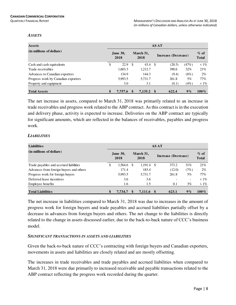#### *ASSETS*

| <b>Assets</b>                       | <b>AS AT</b>            |                                          |         |      |                        |       |            |  |  |  |  |  |
|-------------------------------------|-------------------------|------------------------------------------|---------|------|------------------------|-------|------------|--|--|--|--|--|
| (in millions of dollars)            | <b>June 30,</b><br>2018 | March 31,<br>Increase (Decrease)<br>2018 |         |      | $%$ of<br><b>Total</b> |       |            |  |  |  |  |  |
| Cash and cash equivalents           | \$<br>22.9              | - \$                                     | 43.4    | - \$ | (20.5)                 | (47%) | $\leq 1\%$ |  |  |  |  |  |
| Trade receivables                   | 1,603.3                 |                                          | 1,212.7 |      | 390.6                  | 32%   | 21%        |  |  |  |  |  |
| Advances to Canadian exporters      | 134.9                   |                                          | 144.3   |      | (9.4)                  | (6%)  | $2\%$      |  |  |  |  |  |
| Progress work by Canadian exporters | 5,993.5                 |                                          | 5,731.7 |      | 261.8                  | 5%    | $77\%$     |  |  |  |  |  |
| Property and equipment              | 3.0                     |                                          | 3.1     |      | (0.1)                  | (4%)  | $\leq 1\%$ |  |  |  |  |  |
| <b>Total Assets</b>                 | \$<br>7.757.6           |                                          | 7.135.2 |      | 622.4                  | 9%    | $100\%$    |  |  |  |  |  |

The net increase in assets, compared to March 31, 2018 was primarily related to an increase in trade receivables and progress work related to the ABP contract. As this contract is in the execution and delivery phase, activity is expected to increase. Deliveries on the ABP contract are typically for significant amounts, which are reflected in the balances of receivables, payables and progress work.

# *LIABILITIES*

| <b>Liabilities</b>                      | <b>AS AT</b>                                                        |         |    |         |      |                        |                          |            |  |  |  |
|-----------------------------------------|---------------------------------------------------------------------|---------|----|---------|------|------------------------|--------------------------|------------|--|--|--|
| (in millions of dollars)                | March 31,<br><b>June 30,</b><br>Increase (Decrease)<br>2018<br>2018 |         |    |         |      | $%$ of<br><b>Total</b> |                          |            |  |  |  |
| Trade payables and accrued liabilities  | S                                                                   | 1,564.6 | -S | 1,191.4 | - \$ | 373.2                  | 31%                      | 21%        |  |  |  |
| Advances from foreign buyers and others |                                                                     | 171.4   |    | 183.4   |      | (12.0)                 | (7%)                     | $2\%$      |  |  |  |
| Progress work for foreign buyers        |                                                                     | 5,993.5 |    | 5,731.7 |      | 261.8                  | $5\%$                    | 77%        |  |  |  |
| Deferred lease incentives               |                                                                     | 3.6     |    | 3.6     |      |                        | $\overline{\phantom{0}}$ | $\leq 1\%$ |  |  |  |
| Employee benefits                       |                                                                     | 1.6     |    | 1.5     |      | 0.1                    | $3\%$                    | $\leq 1\%$ |  |  |  |
| <b>Total Liabilities</b>                |                                                                     | 7.734.7 |    | 7.111.6 |      | 623.1                  | 9%                       | $100\%$    |  |  |  |

The net increase in liabilities compared to March 31, 2018 was due to increases in the amount of progress work for foreign buyers and trade payables and accrued liabilities partially offset by a decrease in advances from foreign buyers and others. The net change to the liabilities is directly related to the change in assets discussed earlier, due to the back-to-back nature of CCC's business model.

# *SIGNIFICANT TRANSACTIONS IN ASSETS AND LIABILITIES*

Given the back-to-back nature of CCC's contracting with foreign buyers and Canadian exporters, movements in assets and liabilities are closely related and are mostly offsetting.

The increases in trade receivables and trade payables and accrued liabilities when compared to March 31, 2018 were due primarily to increased receivable and payable transactions related to the ABP contract reflecting the progress work recorded during the quarter.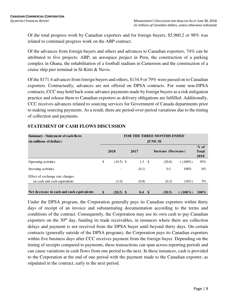Of the total progress work by Canadian exporters and for foreign buyers, \$5,960.2 or 98% was related to continued progress work on the ABP contract.

Of the advances from foreign buyers and others and advances to Canadian exporters, 74% can be attributed to five projects: ABP, an aerospace project in Peru, the construction of a parking complex in Ghana, the rehabilitation of a football stadium in Cameroon and the construction of a cruise ship pier terminal in St-Kitts & Nevis.

Of the \$171.4 advances from foreign buyers and others, \$134.9 or 79% were passed on to Canadian exporters. Contractually, advances are not offered on DPSA contracts. For some non-DPSA contracts, CCC may hold back some advance payments made by foreign buyers as a risk mitigation practice and release them to Canadian exporters as delivery obligations are fulfilled. Additionally, CCC receives advances related to sourcing services for Government of Canada departments prior to making sourcing payments. As a result, there are period-over-period variations due to the timing of collection and payments.

| <b>Summary - Statement of cash flows</b>  | <b>FOR THE THREE MONTHS ENDED</b> |                          |      |                  |  |                     |                |                                |  |  |  |  |  |
|-------------------------------------------|-----------------------------------|--------------------------|------|------------------|--|---------------------|----------------|--------------------------------|--|--|--|--|--|
| (in millions of dollars)                  | <b>JUNE 30</b>                    |                          |      |                  |  |                     |                |                                |  |  |  |  |  |
|                                           |                                   | 2018                     | 2017 |                  |  | Increase (Decrease) |                | $%$ of<br><b>Total</b><br>2018 |  |  |  |  |  |
| Operating activities                      | \$                                | $(19.5)$ \$              |      | $1.3 \quad$      |  | (20.8)              | $\leq (100\%)$ | 95%                            |  |  |  |  |  |
| Investing activities                      |                                   | $\overline{\phantom{0}}$ |      | (0.1)            |  | 0.1                 | 100%           | $0\%$                          |  |  |  |  |  |
| Effect of exchange rate changes           |                                   |                          |      |                  |  |                     |                |                                |  |  |  |  |  |
| on cash and cash equivalents              |                                   | (1.0)                    |      | (0.8)            |  | (0.2)               | (16%)          | 5%                             |  |  |  |  |  |
| Net decrease in cash and cash equivalents | \$                                | $(20.5)$ \$              |      | 0.4 <sup>°</sup> |  | (20.9)              | $<$ (100%)     | $100\%$                        |  |  |  |  |  |

# **STATEMENT OF CASH FLOWS DISCUSSION**

Under the DPSA program, the Corporation generally pays its Canadian exporters within thirty days of receipt of an invoice and substantiating documentation according to the terms and conditions of the contract. Consequently, the Corporation may use its own cash to pay Canadian exporters on the  $30<sup>th</sup>$  day, funding its trade receivables, in instances where there are collection delays and payment is not received from the DPSA buyer until beyond thirty days. On certain contracts (generally outside of the DPSA program), the Corporation pays its Canadian exporters within five business days after CCC receives payment from the foreign buyer. Depending on the timing of receipts compared to payments, these transactions can span across reporting periods and can cause variations in cash flows from one period to the next. In these instances, cash is provided to the Corporation at the end of one period with the payment made to the Canadian exporter, as stipulated in the contract, early in the next period.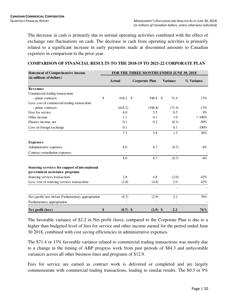The decrease in cash is primarily due to normal operating activities combined with the effect of exchange rate fluctuations on cash. The decrease in cash from operating activities is primarily related to a significant increase in early payments made at discounted amounts to Canadian exporters in comparison to the prior year.

| <b>Statement of Comprehensive income</b>                                         | FOR THE THREE MONTHS ENDED JUNE 30, 2018 |               |                       |                              |                 |        |            |  |  |  |  |  |
|----------------------------------------------------------------------------------|------------------------------------------|---------------|-----------------------|------------------------------|-----------------|--------|------------|--|--|--|--|--|
| (in millions of dollars)                                                         |                                          | <b>Actual</b> | <b>Corporate Plan</b> |                              | <b>Variance</b> |        | % Variance |  |  |  |  |  |
| <b>Revenues</b>                                                                  |                                          |               |                       |                              |                 |        |            |  |  |  |  |  |
| Commercial trading transactions                                                  |                                          |               |                       |                              |                 |        |            |  |  |  |  |  |
| - prime contracts                                                                | \$                                       | 618.2 \$      |                       | 546.8                        | -\$             | 71.4   | 13%        |  |  |  |  |  |
| Less: cost of commercial trading transactions                                    |                                          |               |                       |                              |                 |        |            |  |  |  |  |  |
| - prime contracts                                                                |                                          | (618.2)       |                       | (546.8)                      |                 | (71.4) | $-13%$     |  |  |  |  |  |
| Fees for service                                                                 |                                          | 6.0           |                       | 5.5                          |                 | 0.5    | 9%         |  |  |  |  |  |
| Other income                                                                     |                                          | 1.1           |                       | 0.1                          |                 | 1.0    | >100%      |  |  |  |  |  |
| Finance income, net                                                              |                                          | 0.1           |                       | 0.2                          |                 | (0.1)  | $-50%$     |  |  |  |  |  |
| Loss on foreign exchange                                                         |                                          | 0.1           |                       | $\qquad \qquad \blacksquare$ |                 | 0.1    | 100%       |  |  |  |  |  |
|                                                                                  |                                          | 7.3           |                       | 5.8                          |                 | 1.5    | 26%        |  |  |  |  |  |
| <b>Expenses</b>                                                                  |                                          |               |                       |                              |                 |        |            |  |  |  |  |  |
| Administrative expenses                                                          |                                          | 8.0           |                       | 8.7                          |                 | (0.7)  | $-8\%$     |  |  |  |  |  |
| Contract remediation expenses                                                    |                                          |               |                       |                              |                 |        |            |  |  |  |  |  |
|                                                                                  |                                          | 8.0           |                       | 8.7                          |                 | (0.7)  | $-8%$      |  |  |  |  |  |
| Sourcing services for support of international<br>government assistance programs |                                          |               |                       |                              |                 |        |            |  |  |  |  |  |
| Sourcing services transactions                                                   |                                          | 2.8           |                       | 4.8                          |                 | (2.0)  | $-42%$     |  |  |  |  |  |
| Less: cost of sourcing services transactions                                     |                                          | (2.8)         |                       | (4.8)                        |                 | 2.0    | 42%        |  |  |  |  |  |
|                                                                                  |                                          |               |                       |                              |                 |        |            |  |  |  |  |  |
| Net (profit) loss before Parliamentary appropriation                             |                                          | (0.7)         |                       | (2.9)                        |                 | 2.2    | 76%        |  |  |  |  |  |
| Parliamentary appropriation                                                      |                                          |               |                       |                              |                 |        |            |  |  |  |  |  |
| Net profit (loss)                                                                | \$                                       | $(0.7)$ \$    |                       | $(2.9)$ \$                   |                 | 2.2    | 76%        |  |  |  |  |  |

### **COMPARISON OF FINANCIAL RESULTS TO THE 2018-19 TO 2021-22 CORPORATE PLAN**

The favorable variance of \$2.2 in Net profit (loss), compared to the Corporate Plan is due to a higher than budgeted level of fees for service and other income earned for the period ended June 30 2018, combined with cost saving efficiencies in administrative expenses.

The \$71.4 or 13% favorable variance related to commercial trading transactions was mostly due to a change in the timing of ABP progress work from past periods of \$84.3 and unfavorable variances across all other business lines and programs of \$12.9.

Fees for service are earned as contract work is delivered or completed and are largely commensurate with commercial trading transactions, leading to similar results. The \$0.5 or 9%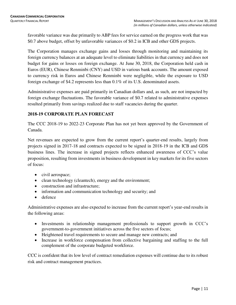favorable variance was due primarily to ABP fees for service earned on the progress work that was \$0.7 above budget, offset by unfavorable variances of \$0.2 in ICB and other GDS projects.

The Corporation manages exchange gains and losses through monitoring and maintaining its foreign currency balances at an adequate level to eliminate liabilities in that currency and does not budget for gains or losses on foreign exchange. At June 30, 2018, the Corporation held cash in Euros (EUR), Chinese Renminbi (CNY) and USD in various bank accounts. The amount exposed to currency risk in Euros and Chinese Renminbi were negligible, while the exposure to USD foreign exchange of \$4.2 represents less than 0.1% of its U.S. denominated assets.

Administrative expenses are paid primarily in Canadian dollars and, as such, are not impacted by foreign exchange fluctuations. The favorable variance of \$0.7 related to administrative expenses resulted primarily from savings realized due to staff vacancies during the quarter.

# **2018-19 CORPORATE PLAN FORECAST**

The CCC 2018-19 to 2022-23 Corporate Plan has not yet been approved by the Government of Canada.

Net revenues are expected to grow from the current report's quarter-end results, largely from projects signed in 2017-18 and contracts expected to be signed in 2018-19 in the ICB and GDS business lines. The increase in signed projects reflects enhanced awareness of CCC's value proposition, resulting from investments in business development in key markets for its five sectors of focus:

- civil aerospace;
- clean technology (cleantech), energy and the environment;
- construction and infrastructure;
- information and communication technology and security; and
- defence

Administrative expenses are also expected to increase from the current report's year-end results in the following areas:

- Investments in relationship management professionals to support growth in CCC's government-to-government initiatives across the five sectors of focus;
- Heightened travel requirements to secure and manage new contracts; and
- Increase in workforce compensation from collective bargaining and staffing to the full complement of the corporate budgeted workforce.

CCC is confident that its low level of contract remediation expenses will continue due to its robust risk and contract management practices.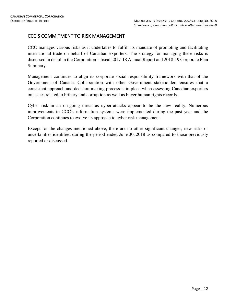# CCC'S COMMITMENT TO RISK MANAGEMENT

CCC manages various risks as it undertakes to fulfill its mandate of promoting and facilitating international trade on behalf of Canadian exporters. The strategy for managing these risks is discussed in detail in the Corporation's fiscal 2017-18 Annual Report and 2018-19 Corporate Plan Summary.

Management continues to align its corporate social responsibility framework with that of the Government of Canada. Collaboration with other Government stakeholders ensures that a consistent approach and decision making process is in place when assessing Canadian exporters on issues related to bribery and corruption as well as buyer human rights records.

Cyber risk in an on-going threat as cyber-attacks appear to be the new reality. Numerous improvements to CCC's information systems were implemented during the past year and the Corporation continues to evolve its approach to cyber risk management.

Except for the changes mentioned above, there are no other significant changes, new risks or uncertainties identified during the period ended June 30, 2018 as compared to those previously reported or discussed.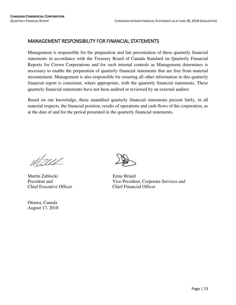# MANAGEMENT RESPONSIBILITY FOR FINANCIAL STATEMENTS

Management is responsible for the preparation and fair presentation of these quarterly financial statements in accordance with the Treasury Board of Canada Standard on Quarterly Financial Reports for Crown Corporations and for such internal controls as Management determines is necessary to enable the preparation of quarterly financial statements that are free from material misstatement. Management is also responsible for ensuring all other information in this quarterly financial report is consistent, where appropriate, with the quarterly financial statements. These quarterly financial statements have not been audited or reviewed by an external auditor.

Based on our knowledge, these unaudited quarterly financial statements present fairly, in all material respects, the financial position, results of operations and cash flows of the corporation, as at the date of and for the period presented in the quarterly financial statements.

Mahhh!

Martin Zablocki Ernie Briard Chief Executive Officer Chief Financial Officer

Ottawa, Canada August 17, 2018



President and Vice-President, Corporate Services and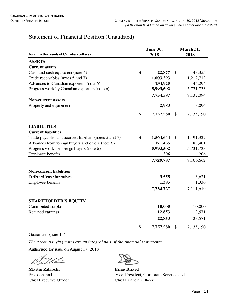# Statement of Financial Position (Unaudited)

|                                                        | <b>June 30,</b> | March 31,       |
|--------------------------------------------------------|-----------------|-----------------|
| As at (in thousands of Canadian dollars)               | 2018            | 2018            |
| <b>ASSETS</b>                                          |                 |                 |
| <b>Current assets</b>                                  |                 |                 |
| Cash and cash equivalent (note 4)                      | \$<br>22,877    | \$<br>43,355    |
| Trade receivables (notes 5 and 7)                      | 1,603,293       | 1,212,712       |
| Advances to Canadian exporters (note 6)                | 134,925         | 144,294         |
| Progress work by Canadian exporters (note 6)           | 5,993,502       | 5,731,733       |
|                                                        | 7,754,597       | 7,132,094       |
| <b>Non-current assets</b>                              |                 |                 |
| Property and equipment                                 | 2,983           | 3,096           |
|                                                        | \$<br>7,757,580 | \$<br>7,135,190 |
|                                                        |                 |                 |
| <b>LIABILITIES</b>                                     |                 |                 |
| <b>Current liabilities</b>                             |                 |                 |
| Trade payables and accrued liabilities (notes 5 and 7) | \$<br>1,564,644 | \$<br>1,191,322 |
| Advances from foreign buyers and others (note 6)       | 171,435         | 183,401         |
| Progress work for foreign buyers (note 6)              | 5,993,502       | 5,731,733       |
| Employee benefits                                      | 206             | 206             |
|                                                        | 7,729,787       | 7,106,662       |
| <b>Non-current liabilities</b>                         |                 |                 |
| Deferred lease incentives                              | 3,555           | 3,621           |
| Employee benefits                                      | 1,385           | 1,336           |
|                                                        | 7,734,727       | 7,111,619       |
|                                                        |                 |                 |
| <b>SHAREHOLDER'S EQUITY</b>                            |                 |                 |
| Contributed surplus                                    | 10,000          | 10,000          |
| Retained earnings                                      | 12,853          | 13,571          |
|                                                        | 22,853          | 23,571          |
|                                                        | \$<br>7,757,580 | \$<br>7,135,190 |

Guarantees (note 14)

*The accompanying notes are an integral part of the financial statements.*

Authorized for issue on August 17, 2018

**Martin Zablocki Ernie Briard**

President and Vice-President, Corporate Services and Chief Executive Officer Chief Financial Officer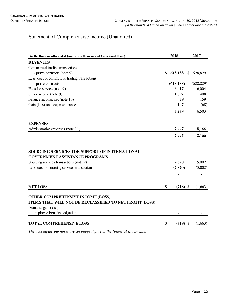# Statement of Comprehensive Income (Unaudited)

| For the three months ended June 30 (in thousands of Canadian dollars)                   | 2018                         |               | 2017                     |
|-----------------------------------------------------------------------------------------|------------------------------|---------------|--------------------------|
| <b>REVENUES</b>                                                                         |                              |               |                          |
| Commercial trading transactions                                                         |                              |               |                          |
| - prime contracts (note 9)                                                              | \$<br>618,188                | <sup>\$</sup> | 628,829                  |
| Less: cost of commercial trading transactions                                           |                              |               |                          |
| - prime contracts                                                                       | (618, 188)                   |               | (628, 829)               |
| Fees for service (note 9)                                                               | 6,017                        |               | 6,004                    |
| Other income (note 9)                                                                   | 1,097                        |               | 408                      |
| Finance income, net (note 10)                                                           | 58                           |               | 159                      |
| Gain (loss) on foreign exchange                                                         | 107                          |               | (68)                     |
|                                                                                         | 7,279                        |               | 6,503                    |
| <b>EXPENSES</b>                                                                         |                              |               |                          |
| Administrative expenses (note 11)                                                       | 7,997                        |               | 8,166                    |
|                                                                                         | 7,997                        |               | 8,166                    |
| SOURCING SERVICES FOR SUPPORT OF INTERNATIONAL<br><b>GOVERNMENT ASSISTANCE PROGRAMS</b> |                              |               |                          |
| Sourcing services transactions (note 9)                                                 | 2,820                        |               | 5,002                    |
| Less: cost of sourcing services transactions                                            | (2,820)                      |               | (5,002)                  |
|                                                                                         | $\qquad \qquad \blacksquare$ |               | $\overline{\phantom{a}}$ |
| <b>NET LOSS</b>                                                                         | \$<br>$(718)$ \$             |               | (1,663)                  |
| <b>OTHER COMPREHENSIVE INCOME (LOSS)</b>                                                |                              |               |                          |
| ITEMS THAT WILL NOT BE RECLASSIFIED TO NET PROFIT (LOSS)                                |                              |               |                          |
| Actuarial gain (loss) on                                                                |                              |               |                          |
| employee benefits obligation                                                            |                              |               |                          |
| <b>TOTAL COMPREHENSIVE LOSS</b>                                                         | \$<br>$(718)$ \$             |               | (1,663)                  |

*The accompanying notes are an integral part of the financial statements.*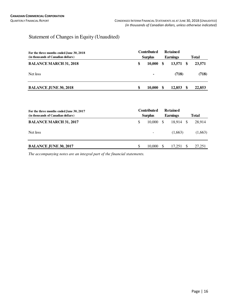# Statement of Changes in Equity (Unaudited)

| For the three months ended June 30, 2018<br>(in thousands of Canadian dollars) |    | <b>Contributed</b><br><b>Surplus</b> |    |        |      | <b>Retained</b><br><b>Earnings</b> |  |  |  | Total |
|--------------------------------------------------------------------------------|----|--------------------------------------|----|--------|------|------------------------------------|--|--|--|-------|
| <b>BALANCE MARCH 31, 2018</b>                                                  | S  | 10,000                               | \$ | 13,571 | - \$ | 23,571                             |  |  |  |       |
| Net loss                                                                       |    |                                      |    | (718)  |      | (718)                              |  |  |  |       |
| <b>BALANCE JUNE 30, 2018</b>                                                   | \$ | 10.000                               | \$ | 12,853 | -SS  | 22,853                             |  |  |  |       |

| For the three months ended June 30, 2017<br>(in thousands of Canadian dollars) |    | <b>Contributed</b><br><b>Surplus</b> |               | <b>Retained</b><br><b>Earnings</b> |    | Total   |
|--------------------------------------------------------------------------------|----|--------------------------------------|---------------|------------------------------------|----|---------|
| <b>BALANCE MARCH 31, 2017</b>                                                  | S  | 10,000                               | <b>S</b>      | 18.914                             | -S | 28,914  |
| Net loss                                                                       |    | $\overline{\phantom{a}}$             |               | (1,663)                            |    | (1,663) |
| <b>BALANCE JUNE 30, 2017</b>                                                   | -S | 10,000                               | <sup>\$</sup> | 17.251                             | -S | 27,251  |

*The accompanying notes are an integral part of the financial statements.*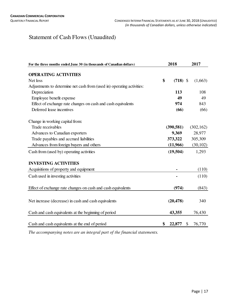# Statement of Cash Flows (Unaudited)

| For the three months ended June 30 (in thousands of Canadian dollars)  |    | 2018       |    | 2017       |
|------------------------------------------------------------------------|----|------------|----|------------|
| <b>OPERATING ACTIVITIES</b>                                            |    |            |    |            |
| Net loss                                                               | \$ | $(718)$ \$ |    |            |
|                                                                        |    |            |    | (1,663)    |
| Adjustments to determine net cash from (used in) operating activities: |    |            |    |            |
| Depreciation                                                           |    | 113        |    | 108        |
| Employee benefit expense                                               |    | 49         |    | 49         |
| Effect of exchange rate changes on cash and cash equivalents           |    | 974        |    | 843        |
| Deferred lease incentives                                              |    | (66)       |    | (66)       |
| Change in working capital from:                                        |    |            |    |            |
| Trade receivables                                                      |    | (390, 581) |    | (302, 162) |
| Advances to Canadian exporters                                         |    | 9,369      |    | 28,977     |
| Trade payables and accrued liabilities                                 |    | 373,322    |    | 305,309    |
| Advances from foreign buyers and others                                |    | (11,966)   |    | (30, 102)  |
| Cash from (used by) operating activities                               |    | (19,504)   |    | 1,293      |
| <b>INVESTING ACTIVITIES</b>                                            |    |            |    |            |
| Acquisitions of property and equipment                                 |    |            |    | (110)      |
| Cash used in investing activities                                      |    |            |    | (110)      |
| Effect of exchange rate changes on cash and cash equivalents           |    | (974)      |    | (843)      |
|                                                                        |    |            |    |            |
| Net increase (decrease) in cash and cash equivalents                   |    | (20, 478)  |    | 340        |
| Cash and cash equivalents at the beginning of period                   |    | 43,355     |    | 76,430     |
| Cash and cash equivalents at the end of period                         | \$ | 22,877     | \$ | 76,770     |

*The accompanying notes are an integral part of the financial statements.*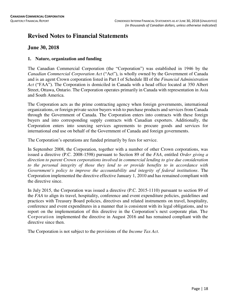# **Revised Notes to Financial Statements**

# **June 30, 2018**

# **1. Nature, organization and funding**

The Canadian Commercial Corporation (the "Corporation") was established in 1946 by the *Canadian Commercial Corporation Act* ("Act"), is wholly owned by the Government of Canada and is an agent Crown corporation listed in Part I of Schedule III of the *Financial Administration Act* ("FAA"). The Corporation is domiciled in Canada with a head office located at 350 Albert Street, Ottawa, Ontario. The Corporation operates primarily in Canada with representation in Asia and South America.

The Corporation acts as the prime contracting agency when foreign governments, international organizations, or foreign private sector buyers wish to purchase products and services from Canada through the Government of Canada. The Corporation enters into contracts with these foreign buyers and into corresponding supply contracts with Canadian exporters. Additionally, the Corporation enters into sourcing services agreements to procure goods and services for international end use on behalf of the Government of Canada and foreign governments.

The Corporation's operations are funded primarily by fees for service.

In September 2008, the Corporation, together with a number of other Crown corporations, was issued a directive (P.C. 2008-1598) pursuant to Section 89 of the *FAA*, entitled *Order giving a direction to parent Crown corporations involved in commercial lending to give due consideration to the personal integrity of those they lend to or provide benefits to in accordance with Government's policy to improve the accountability and integrity of federal institutions*. The Corporation implemented the directive effective January 1, 2010 and has remained compliant with the directive since.

In July 2015, the Corporation was issued a directive (P.C. 2015-1110) pursuant to section 89 of the *FAA* to align its travel, hospitality, conference and event expenditure policies, guidelines and practices with Treasury Board policies, directives and related instruments on travel, hospitality, conference and event expenditures in a manner that is consistent with its legal obligations, and to report on the implementation of this directive in the Corporation's next corporate plan. The Corporation implemented the directive in August 2016 and has remained compliant with the directive since then.

The Corporation is not subject to the provisions of the *Income Tax Act*.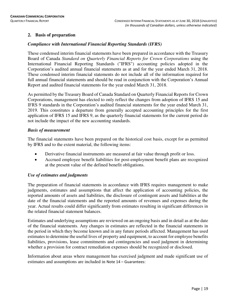# **2. Basis of preparation**

# *Compliance with International Financial Reporting Standards (IFRS)*

These condensed interim financial statements have been prepared in accordance with the Treasury Board of Canada *Standard on Quarterly Financial Reports for Crown Corporations* using the International Financial Reporting Standards ("IFRS") accounting policies adopted in the Corporation's audited annual financial statements as at and for the year ended March 31, 2018. These condensed interim financial statements do not include all of the information required for full annual financial statements and should be read in conjunction with the Corporation's Annual Report and audited financial statements for the year ended March 31, 2018.

As permitted by the Treasury Board of Canada Standard on Quarterly Financial Reports for Crown Corporations, management has elected to only reflect the changes from adoption of IFRS 15 and IFRS 9 standards in the Corporation's audited financial statements for the year ended March 31, 2019. This constitutes a departure from generally accepted accounting principles for the first application of IFRS 15 and IFRS 9, as the quarterly financial statements for the current period do not include the impact of the new accounting standards.

#### *Basis of measurement*

The financial statements have been prepared on the historical cost basis, except for as permitted by IFRS and to the extent material, the following items:

- Derivative financial instruments are measured at fair value through profit or loss.
- Accrued employee benefit liabilities for post-employment benefit plans are recognized at the present value of the defined benefit obligations.

# *Use of estimates and judgments*

The preparation of financial statements in accordance with IFRS requires management to make judgments, estimates and assumptions that affect the application of accounting policies, the reported amounts of assets and liabilities, the disclosure of contingent assets and liabilities at the date of the financial statements and the reported amounts of revenues and expenses during the year. Actual results could differ significantly from estimates resulting in significant differences in the related financial statement balances.

Estimates and underlying assumptions are reviewed on an ongoing basis and in detail as at the date of the financial statements. Any changes in estimates are reflected in the financial statements in the period in which they become known and in any future periods affected. Management has used estimates to determine the useful lives of property and equipment, to account for employee benefits liabilities, provisions, lease commitments and contingencies and used judgment in determining whether a provision for contract remediation expenses should be recognized or disclosed.

Information about areas where management has exercised judgment and made significant use of estimates and assumptions are included in Note 14 – Guarantees: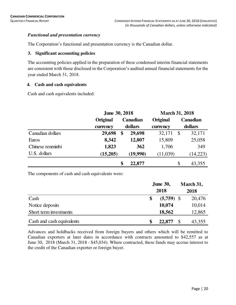# *Functional and presentation currency*

The Corporation's functional and presentation currency is the Canadian dollar.

# **3. Significant accounting policies**

The accounting policies applied in the preparation of these condensed interim financial statements are consistent with those disclosed in the Corporation's audited annual financial statements for the year ended March 31, 2018.

# **4. Cash and cash equivalents**

Cash and cash equivalents included:

|                  | <b>June 30, 2018</b> |         |                 | <b>March 31, 2018</b> |              |          |  |  |
|------------------|----------------------|---------|-----------------|-----------------------|--------------|----------|--|--|
|                  | Original             |         | <b>Canadian</b> |                       |              | Canadian |  |  |
|                  | currency             | dollars |                 | currency              |              | dollars  |  |  |
| Canadian dollars | 29,698               | \$      | 29,698          | 32,171                | $\mathbb{S}$ | 32,171   |  |  |
| Euros            | 8,342                |         | 12,807          | 15,809                |              | 25,058   |  |  |
| Chinese renminbi | 1,823                |         | 362             | 1,706                 |              | 349      |  |  |
| U.S. dollars     | (15,205)             |         | (19,990)        | (11,039)              |              | (14,223) |  |  |
|                  |                      | \$      | 22,877          |                       | \$           | 43,355   |  |  |

The components of cash and cash equivalents were:

|                           | <b>June 30,</b><br>2018 | March 31,<br>2018 |
|---------------------------|-------------------------|-------------------|
| Cash                      | $(5,759)$ \$            | 20,476            |
| Notice deposits           | 10,074                  | 10,014            |
| Short term investments    | 18,562                  | 12,865            |
| Cash and cash equivalents | 22,877                  | 43,355            |

Advances and holdbacks received from foreign buyers and others which will be remitted to Canadian exporters at later dates in accordance with contracts amounted to \$42,557 as at June 30, 2018 (March 31, 2018 - \$45,034). Where contracted, these funds may accrue interest to the credit of the Canadian exporter or foreign buyer.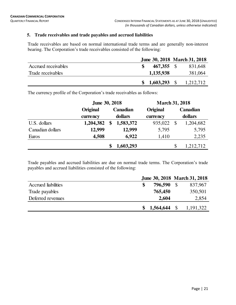# **5. Trade receivables and trade payables and accrued liabilities**

Trade receivables are based on normal international trade terms and are generally non-interest bearing. The Corporation's trade receivables consisted of the following:

|                     |            | June 30, 2018 March 31, 2018 |
|---------------------|------------|------------------------------|
| Accrued receivables | 467,355 \$ | 831,648                      |
| Trade receivables   | 1,135,938  | 381,064                      |
|                     |            | $$1,603,293$ $$1,212,712$    |

The currency profile of the Corporation's trade receivables as follows:

|                  |           | <b>June 30, 2018</b> |           |          | <b>March 31, 2018</b> |           |  |  |  |
|------------------|-----------|----------------------|-----------|----------|-----------------------|-----------|--|--|--|
|                  | Original  | Canadian             |           | Original |                       | Canadian  |  |  |  |
|                  | currency  |                      | dollars   | currency |                       | dollars   |  |  |  |
| U.S. dollars     | 1,204,382 | \$                   | 1,583,372 | 935,022  | $\mathcal{S}$         | 1,204,682 |  |  |  |
| Canadian dollars | 12,999    |                      | 12,999    | 5,795    |                       | 5,795     |  |  |  |
| Euros            | 4,508     |                      | 6,922     | 1,410    |                       | 2,235     |  |  |  |
|                  |           |                      | 1,603,293 |          | \$                    | 1,212,712 |  |  |  |

Trade payables and accrued liabilities are due on normal trade terms. The Corporation's trade payables and accrued liabilities consisted of the following:

| 796,590   | 837,967                      |
|-----------|------------------------------|
| 765,450   | 350,501                      |
| 2,604     | 2,854                        |
| 1,564,644 | 1, 191, 322                  |
|           | June 30, 2018 March 31, 2018 |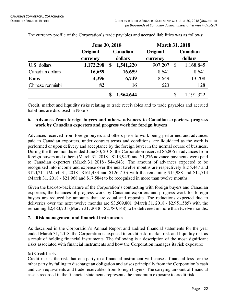|                  | <b>June 30, 2018</b> |          |           | <b>March 31, 2018</b> |              |           |
|------------------|----------------------|----------|-----------|-----------------------|--------------|-----------|
|                  | Original             | Canadian |           | Original              |              | Canadian  |
|                  | currency             |          | dollars   | currency              |              | dollars   |
| U.S. dollars     | 1,172,298            | \$       | 1,541,220 | 907,207               | $\mathbb{S}$ | 1,168,845 |
| Canadian dollars | 16,659               |          | 16,659    | 8,641                 |              | 8,641     |
| Euros            | 4,396                |          | 6,749     | 8,649                 |              | 13,708    |
| Chinese renminbi | 82                   |          | 16        | 623                   |              | 128       |
|                  |                      | \$       | 1,564,644 |                       | $\mathbb{S}$ | 1,191,322 |

The currency profile of the Corporation's trade payables and accrued liabilities was as follows:

Credit, market and liquidity risks relating to trade receivables and to trade payables and accrued liabilities are disclosed in Note 7.

### **6. Advances from foreign buyers and others, advances to Canadian exporters, progress work by Canadian exporters and progress work for foreign buyers**

Advances received from foreign buyers and others prior to work being performed and advances paid to Canadian exporters, under contract terms and conditions, are liquidated as the work is performed or upon delivery and acceptance by the foreign buyer in the normal course of business. During the three months ended June 30, 2018, the Corporation received \$6,806 in advances from foreign buyers and others (March 31, 2018 - \$113,949) and \$1,276 advance payments were paid to Canadian exporters (March 31, 2018 - \$44,643). The amount of advances expected to be recognized into income and expense over the next twelve months are respectively \$155,447 and \$120,211 (March 31, 2018 - \$161,433 and \$126,710) with the remaining \$15,988 and \$14,714 (March 31, 2018 - \$21,968 and \$17,584) to be recognized in more than twelve months.

Given the back-to-back nature of the Corporation's contracting with foreign buyers and Canadian exporters, the balances of progress work by Canadian exporters and progress work for foreign buyers are reduced by amounts that are equal and opposite. The reductions expected due to deliveries over the next twelve months are \$3,509,801 (March 31, 2018 - \$2,951,585) with the remaining \$2,483,701 (March 31, 2018 - \$2,780,148) to be delivered in more than twelve months.

# **7. Risk management and financial instruments**

As described in the Corporation's Annual Report and audited financial statements for the year ended March 31, 2018, the Corporation is exposed to credit risk, market risk and liquidity risk as a result of holding financial instruments. The following is a description of the most significant risks associated with financial instruments and how the Corporation manages its risk exposure:

# **(a) Credit risk**

Credit risk is the risk that one party to a financial instrument will cause a financial loss for the other party by failing to discharge an obligation and arises principally from the Corporation's cash and cash equivalents and trade receivables from foreign buyers. The carrying amount of financial assets recorded in the financial statements represents the maximum exposure to credit risk.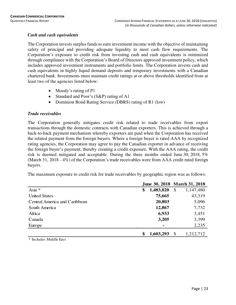# *Cash and cash equivalents*

The Corporation invests surplus funds to earn investment income with the objective of maintaining safety of principal and providing adequate liquidity to meet cash flow requirements. The Corporation's exposure to credit risk from investing cash and cash equivalents is minimized through compliance with the Corporation's Board of Directors approved investment policy, which includes approved investment instruments and portfolio limits. The Corporation invests cash and cash equivalents in highly liquid demand deposits and temporary investments with a Canadian chartered bank. Investments must maintain credit ratings at or above thresholds identified from at least two of the agencies listed below:

- Moody's rating of P1
- Standard and Poor's (S&P) rating of A1
- Dominion Bond Rating Service (DBRS) rating of R1 (low)

# *Trade receivables*

The Corporation generally mitigates credit risk related to trade receivables from export transactions through the domestic contracts with Canadian exporters. This is achieved through a back-to-back payment mechanism whereby exporters are paid when the Corporation has received the related payment from the foreign buyers. Where a foreign buyer is rated AAA by recognized rating agencies, the Corporation may agree to pay the Canadian exporter in advance of receiving the foreign buyer's payment, thereby creating a credit exposure. With the AAA rating, the credit risk is deemed mitigated and acceptable. During the three months ended June 30, 2018, 5% (March 31, 2018 - 4%) of the Corporation's trade receivables were from AAA credit rated foreign buyers.

The maximum exposure to credit risk for trade receivables by geographic region was as follows:

|                               |                 | June 30, 2018 March 31, 2018 |
|-------------------------------|-----------------|------------------------------|
| Asia *                        | \$<br>1,483,820 | \$<br>1,147,480              |
| <b>United States</b>          | 75,665          | 43,319                       |
| Central America and Caribbean | 20,803          | 5,096                        |
| South America                 | 12,867          | 7,732                        |
| Africa                        | 6,933           | 3,451                        |
| Canada                        | 3,205           | 3,399                        |
| Europe                        | ۰               | 2,235                        |
|                               | \$<br>1,603,293 | \$<br>1,212,712              |

\* Includes Middle East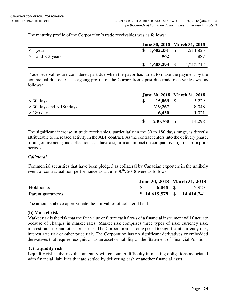The maturity profile of the Corporation's trade receivables was as follows:

|                       |     |  | June 30, 2018 March 31, 2018 |
|-----------------------|-----|--|------------------------------|
| $\leq 1$ year         |     |  | $$1,602,331$ $$1,211,825$    |
| $> 1$ and $<$ 3 years | 962 |  | 887                          |
|                       |     |  | $$1,603,293$ $$1,212,712$    |

Trade receivables are considered past due when the payor has failed to make the payment by the contractual due date. The ageing profile of the Corporation's past due trade receivables was as follows:

|                              |               | June 30, 2018 March 31, 2018 |
|------------------------------|---------------|------------------------------|
| $\leq 30$ days               | \$<br>15,063  | 5,229                        |
| $>$ 30 days and $<$ 180 days | 219,267       | 8,048                        |
| $> 180$ days                 | 6,430         | 1,021                        |
|                              | 240,760<br>\$ | 14,298                       |

The significant increase in trade receivables, particularly in the 30 to 180 days range, is directly attributable to increased activity in the ABP contract. As the contract enters into the delivery phase, timing of invoicing and collections can have a significant impact on comparative figures from prior periods.

# *Collateral*

Commercial securities that have been pledged as collateral by Canadian exporters in the unlikely event of contractual non-performance as at June  $30<sup>th</sup>$ ,  $2018$  were as follows:

|                   |            | June 30, 2018 March 31, 2018 |
|-------------------|------------|------------------------------|
| Holdbacks         | $6,048$ \$ | 5,927                        |
| Parent guarantees |            | $$14,618,579$ $$14,414,241$  |

The amounts above approximate the fair values of collateral held.

# **(b) Market risk**

Market risk is the risk that the fair value or future cash flows of a financial instrument will fluctuate because of changes in market rates. Market risk comprises three types of risk: currency risk, interest rate risk and other price risk. The Corporation is not exposed to significant currency risk, interest rate risk or other price risk. The Corporation has no significant derivatives or embedded derivatives that require recognition as an asset or liability on the Statement of Financial Position.

# **(c) Liquidity risk**

Liquidity risk is the risk that an entity will encounter difficulty in meeting obligations associated with financial liabilities that are settled by delivering cash or another financial asset.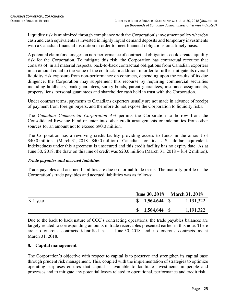Liquidity risk is minimized through compliance with the Corporation's investment policy whereby cash and cash equivalents is invested in highly liquid demand deposits and temporary investments with a Canadian financial institution in order to meet financial obligations on a timely basis.

A potential claim for damages on non-performance of contractual obligations could create liquidity risk for the Corporation. To mitigate this risk, the Corporation has contractual recourse that consists of, in all material respects, back-to-back contractual obligations from Canadian exporters in an amount equal to the value of the contract. In addition, in order to further mitigate its overall liquidity risk exposure from non-performance on contracts, depending upon the results of its due diligence, the Corporation may supplement this recourse by requiring commercial securities including holdbacks, bank guarantees, surety bonds, parent guarantees, insurance assignments, property liens, personal guarantees and shareholder cash held in trust with the Corporation.

Under contract terms, payments to Canadians exporters usually are not made in advance of receipt of payment from foreign buyers, and therefore do not expose the Corporation to liquidity risks.

The *Canadian Commercial Corporation Act* permits the Corporation to borrow from the Consolidated Revenue Fund or enter into other credit arrangements or indemnities from other sources for an amount not to exceed \$90.0 million.

The Corporation has a revolving credit facility providing access to funds in the amount of \$40.0 million (March 31, 2018 - \$40.0 million) Canadian or its U.S. dollar equivalent. Indebtedness under this agreement is unsecured and this credit facility has no expiry date. As at June 30, 2018, the draw on this line of credit was \$20.0 million (March 31, 2018 – \$14.2 million).

# *Trade payables and accrued liabilities*

Trade payables and accrued liabilities are due on normal trade terms. The maturity profile of the Corporation's trade payables and accrued liabilities was as follows:

|               | June 30, 2018 March 31, 2018 |  |             |
|---------------|------------------------------|--|-------------|
| $\leq 1$ year | $$1,564,644$ \,              |  | 1,191,322   |
|               | $$1,564,644$ \,              |  | 1, 191, 322 |

Due to the back to back nature of CCC's contracting operations, the trade payables balances are largely related to corresponding amounts in trade receivables presented earlier in this note. There are no onerous contracts identified as at June 30, 2018 and no onerous contracts as at March 31, 2018.

# **8. Capital management**

The Corporation's objective with respect to capital is to preserve and strengthen its capital base through prudent risk management. This, coupled with the implementation of strategies to optimize operating surpluses ensures that capital is available to facilitate investments in people and processes and to mitigate any potential losses related to operational, performance and credit risk.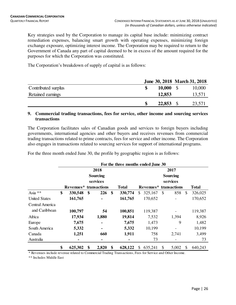Key strategies used by the Corporation to manage its capital base include: minimizing contract remediation expenses, balancing smart growth with operating expenses, minimizing foreign exchange exposure, optimizing interest income. The Corporation may be required to return to the Government of Canada any part of capital deemed to be in excess of the amount required for the purposes for which the Corporation was constituted.

The Corporation's breakdown of supply of capital is as follows:

|                     |                  | June 30, 2018 March 31, 2018 |
|---------------------|------------------|------------------------------|
| Contributed surplus | $10,000 \quad $$ | 10,000                       |
| Retained earnings   | 12,853           | 13,571                       |
|                     | $22,853$ \$      | 23,571                       |

#### **9. Commercial trading transactions, fees for service, other income and sourcing services transactions**

The Corporation facilitates sales of Canadian goods and services to foreign buyers including governments, international agencies and other buyers and receives revenues from commercial trading transactions related to prime contracts, fees for service and other income. The Corporation also engages in transactions related to sourcing services for support of international programs.

For the three month ended June 30, the profile by geographic region is as follows:

|                      | For the three months ended June 30 |                                    |    |                 |    |              |                                    |    |          |              |              |  |
|----------------------|------------------------------------|------------------------------------|----|-----------------|----|--------------|------------------------------------|----|----------|--------------|--------------|--|
|                      |                                    |                                    |    | 2018            |    |              | 2017                               |    |          |              |              |  |
|                      |                                    |                                    |    | <b>Sourcing</b> |    |              | <b>Sourcing</b>                    |    |          |              |              |  |
|                      |                                    |                                    |    | services        |    |              |                                    |    | services |              |              |  |
|                      |                                    | Revenues <sup>*</sup> transactions |    |                 |    | <b>Total</b> | Revenues <sup>*</sup> transactions |    |          |              | <b>Total</b> |  |
| Asia **              | \$                                 | 330,548                            | \$ | 226             | \$ | 330,774      | 325,167<br>\$.                     | \$ | 858      | $\mathbb{S}$ | 326,025      |  |
| <b>United States</b> |                                    | 161,765                            |    | $\blacksquare$  |    | 161,765      | 170,652                            |    |          |              | 170,652      |  |
| Central America      |                                    |                                    |    |                 |    |              |                                    |    |          |              |              |  |
| and Caribbean        |                                    | 100,797                            |    | 54              |    | 100,851      | 119,387                            |    |          |              | 119,387      |  |
| Africa               |                                    | 17,934                             |    | 1,880           |    | 19,814       | 7,532                              |    | 1,394    |              | 8,926        |  |
| Europe               |                                    | 7,675                              |    |                 |    | 7,675        | 1,473                              |    | 9        |              | 1,482        |  |
| South America        |                                    | 5,332                              |    | ٠               |    | 5,332        | 10,199                             |    |          |              | 10,199       |  |
| Canada               |                                    | 1,251                              |    | 660             |    | 1,911        | 758                                |    | 2,741    |              | 3,499        |  |
| Australia            |                                    |                                    |    | ٠               |    |              | 73                                 |    |          |              | 73           |  |
|                      | \$                                 | 625,302                            | \$ | 2,820           | \$ | 628,122      | 635,241<br>S                       | \$ | 5,002    | S            | 640,243      |  |

\* Revenues include revenue related to Commercial Trading Transactions, Fees for Service and Other Income.

\*\* Includes Middle East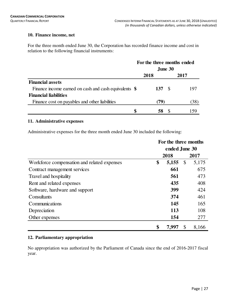# **10. Finance income, net**

For the three month ended June 30, the Corporation has recorded finance income and cost in relation to the following financial instruments:

|                                                        | For the three months ended |      |     |      |
|--------------------------------------------------------|----------------------------|------|-----|------|
|                                                        | June $30$                  |      |     |      |
|                                                        |                            | 2018 |     | 2017 |
| <b>Financial assets</b>                                |                            |      |     |      |
| Finance income earned on cash and cash equivalents $\$ |                            | 137  | - S | 197  |
| <b>Financial liabilities</b>                           |                            |      |     |      |
| Finance cost on payables and other liabilities         |                            | (79) |     | (38) |
|                                                        | S                          | 58   |     |      |

# **11. Administrative expenses**

Administrative expenses for the three month ended June 30 included the following:

|                                             | For the three months |       |                           |       |  |  |
|---------------------------------------------|----------------------|-------|---------------------------|-------|--|--|
|                                             | ended June 30        |       |                           |       |  |  |
|                                             | 2018                 |       |                           | 2017  |  |  |
| Workforce compensation and related expenses | \$                   | 5,155 | $\boldsymbol{\mathsf{S}}$ | 5,175 |  |  |
| Contract management services                |                      | 661   |                           | 675   |  |  |
| Travel and hospitality                      |                      | 561   |                           | 473   |  |  |
| Rent and related expenses                   |                      | 435   |                           | 408   |  |  |
| Software, hardware and support              |                      | 399   |                           | 424   |  |  |
| Consultants                                 |                      | 374   |                           | 461   |  |  |
| Communications                              |                      | 145   |                           | 165   |  |  |
| Depreciation                                |                      | 113   |                           | 108   |  |  |
| Other expenses                              |                      | 154   |                           | 277   |  |  |
|                                             | \$                   | 7.997 |                           | 8,166 |  |  |

# **12. Parliamentary appropriation**

No appropriation was authorized by the Parliament of Canada since the end of 2016-2017 fiscal year.